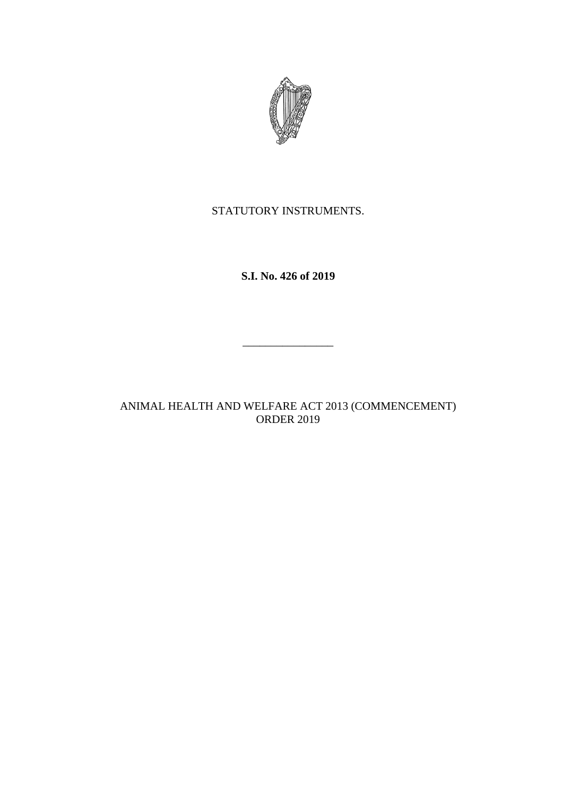

STATUTORY INSTRUMENTS.

**S.I. No. 426 of 2019**

ANIMAL HEALTH AND WELFARE ACT 2013 (COMMENCEMENT) ORDER 2019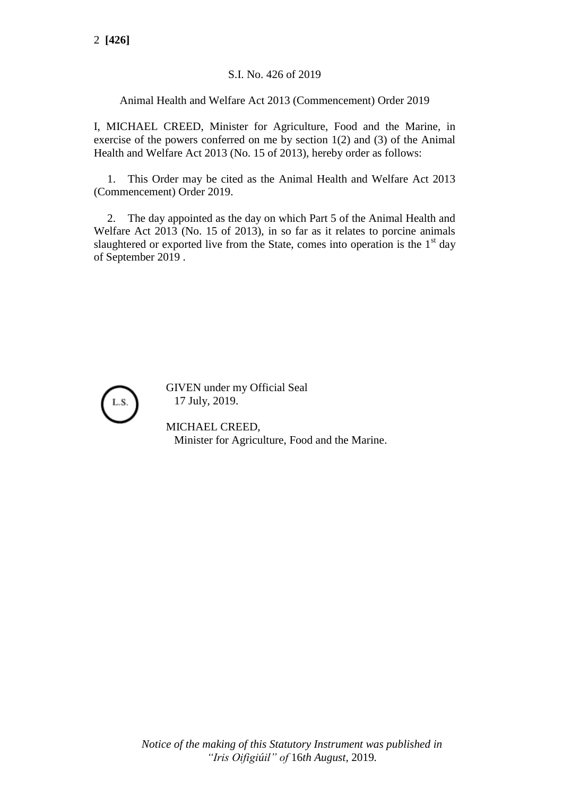## S.I. No. 426 of 2019

Animal Health and Welfare Act 2013 (Commencement) Order 2019

I, MICHAEL CREED, Minister for Agriculture, Food and the Marine, in exercise of the powers conferred on me by section 1(2) and (3) of the Animal Health and Welfare Act 2013 (No. 15 of 2013), hereby order as follows:

1. This Order may be cited as the Animal Health and Welfare Act 2013 (Commencement) Order 2019.

2. The day appointed as the day on which Part 5 of the Animal Health and Welfare Act 2013 (No. 15 of 2013), in so far as it relates to porcine animals slaughtered or exported live from the State, comes into operation is the  $1<sup>st</sup>$  day of September 2019 .



GIVEN under my Official Seal 17 July, 2019.

MICHAEL CREED, Minister for Agriculture, Food and the Marine.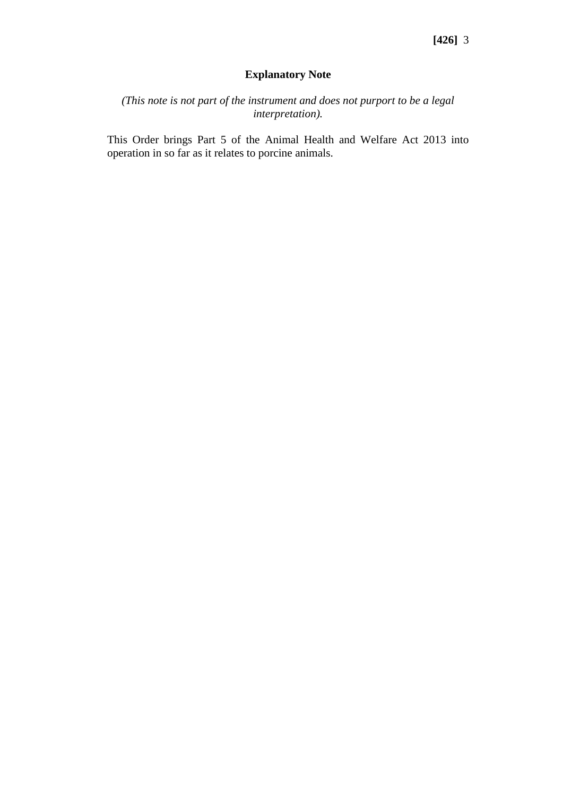## **Explanatory Note**

*(This note is not part of the instrument and does not purport to be a legal interpretation).*

This Order brings Part 5 of the Animal Health and Welfare Act 2013 into operation in so far as it relates to porcine animals.